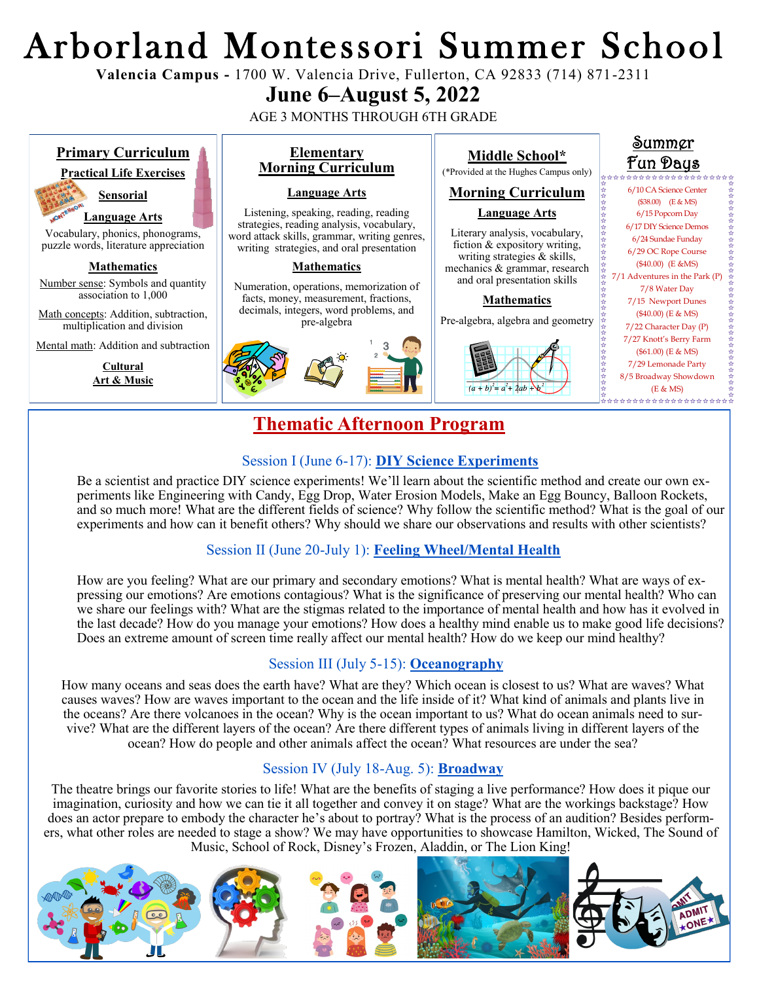# Arborland Montessori Summer School

**Valencia Campus -** 1700 W. Valencia Drive, Fullerton, CA 92833 (714) 871-2311

# **June 6–August 5, 2022**

AGE 3 MONTHS THROUGH 6TH GRADE



# **Thematic Afternoon Program**

#### Session I (June 6-17): **DIY Science Experiments**

Be a scientist and practice DIY science experiments! We'll learn about the scientific method and create our own experiments like Engineering with Candy, Egg Drop, Water Erosion Models, Make an Egg Bouncy, Balloon Rockets, and so much more! What are the different fields of science? Why follow the scientific method? What is the goal of our experiments and how can it benefit others? Why should we share our observations and results with other scientists?

# Session II (June 20-July 1): **Feeling Wheel/Mental Health**

How are you feeling? What are our primary and secondary emotions? What is mental health? What are ways of expressing our emotions? Are emotions contagious? What is the significance of preserving our mental health? Who can we share our feelings with? What are the stigmas related to the importance of mental health and how has it evolved in the last decade? How do you manage your emotions? How does a healthy mind enable us to make good life decisions? Does an extreme amount of screen time really affect our mental health? How do we keep our mind healthy?

## Session III (July 5-15): **Oceanography**

How many oceans and seas does the earth have? What are they? Which ocean is closest to us? What are waves? What causes waves? How are waves important to the ocean and the life inside of it? What kind of animals and plants live in the oceans? Are there volcanoes in the ocean? Why is the ocean important to us? What do ocean animals need to survive? What are the different layers of the ocean? Are there different types of animals living in different layers of the ocean? How do people and other animals affect the ocean? What resources are under the sea?

## Session IV (July 18-Aug. 5): **Broadway**

The theatre brings our favorite stories to life! What are the benefits of staging a live performance? How does it pique our imagination, curiosity and how we can tie it all together and convey it on stage? What are the workings backstage? How does an actor prepare to embody the character he's about to portray? What is the process of an audition? Besides performers, what other roles are needed to stage a show? We may have opportunities to showcase Hamilton, Wicked, The Sound of Music, School of Rock, Disney's Frozen, Aladdin, or The Lion King!